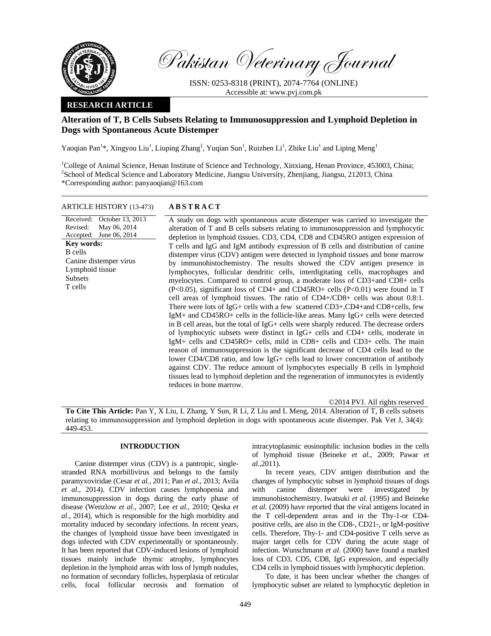

Pakistan Veterinary Journal

ISSN: 0253-8318 (PRINT), 2074-7764 (ONLINE) Accessible at: www.pvj.com.pk

## **RESEARCH ARTICLE**

# **Alteration of T, B Cells Subsets Relating to Immunosuppression and Lymphoid Depletion in Dogs with Spontaneous Acute Distemper**

Yaoqian Pan<sup>1</sup>\*, Xingyou Liu<sup>1</sup>, Liuping Zhang<sup>2</sup>, Yuqian Sun<sup>1</sup>, Ruizhen Li<sup>1</sup>, Zhike Liu<sup>1</sup> and Liping Meng<sup>1</sup>

<sup>1</sup>College of Animal Science, Henan Institute of Science and Technology, Xinxiang, Henan Province, 453003, China; <sup>2</sup>School of Medical Science and Laboratory Medicine, Jiangsu University, Zhenjiang, Jiangsu, 212013, China \*Corresponding author: panyaoqian@163.com

### ARTICLE HISTORY (13-473) **ABSTRACT**

Received: Revised: Accepted: October 13, 2013 May 06, 2014 June 06, 2014 **Key words:**  B cells Canine distemper virus Lymphoid tissue Subsets T cells

 A study on dogs with spontaneous acute distemper was carried to investigate the alteration of T and B cells subsets relating to immunosuppression and lymphocytic depletion in lymphoid tissues. CD3, CD4, CD8 and CD45RO antigen expression of T cells and IgG and IgM antibody expression of B cells and distribution of canine distemper virus (CDV) antigen were detected in lymphoid tissues and bone marrow by immunohistochemistry. The results showed the CDV antigen presence in lymphocytes, follicular dendritic cells, interdigitating cells, macrophages and myelocytes. Compared to control group, a moderate loss of CD3+and CD8+ cells (P<0.05), significant loss of CD4+ and CD45RO+ cells (P<0.01) were found in T cell areas of lymphoid tissues. The ratio of CD4+/CD8+ cells was about 0.8:1. There were lots of IgG+ cells with a few scattered CD3+,CD4+and CD8+cells, few IgM+ and CD45RO+ cells in the follicle-like areas. Many IgG+ cells were detected in B cell areas, but the total of IgG+ cells were sharply reduced. The decrease orders of lymphocytic subsets were distinct in IgG+ cells and CD4+ cells, moderate in IgM+ cells and CD45RO+ cells, mild in CD8+ cells and CD3+ cells. The main reason of immunosuppression is the significant decrease of CD4 cells lead to the lower CD4/CD8 ratio, and low IgG+ cells lead to lower concentration of antibody against CDV. The reduce amount of lymphocytes especially B cells in lymphoid tissues lead to lymphoid depletion and the regeneration of immunocytes is evidently reduces in bone marrow.

©2014 PVJ. All rights reserved

**To Cite This Article:** Pan Y, X Liu, L Zhang, Y Sun, R Li, Z Liu and L Meng, 2014. Alteration of T, B cells subsets relating to immunosuppression and lymphoid depletion in dogs with spontaneous acute distemper. Pak Vet J, 34(4): 449-453.

## **INTRODUCTION**

Canine distemper virus (CDV) is a pantropic, singlestranded RNA morbillivirus and belongs to the family paramyxoviridae (Cesar *et al.,* 2011; Pan *et al*., 2013; Avila *et al*., 2014). CDV infection causes lymphopenia and immunosuppression in dogs during the early phase of disease (Wenzlow *et al.,* 2007; Lee *et al.,* 2010; Qeska *et al*., 2014), which is responsible for the high morbidity and mortality induced by secondary infections. In recent years, the changes of lymphoid tissue have been investigated in dogs infected with CDV experimentally or spontaneously. It has been reported that CDV-induced lesions of lymphoid tissues mainly include thymic atrophy, lymphocytes depletion in the lymphoid areas with loss of lymph nodules, no formation of secondary follicles, hyperplasia of reticular cells, focal follicular necrosis and formation of

intracytoplasmic eosinophilic inclusion bodies in the cells of lymphoid tissue (Beineke *et al.,* 2009; Pawar *et al.,*2011).

In recent years, CDV antigen distribution and the changes of lymphocytic subset in lymphoid tissues of dogs with canine distemper were investigated by immunohistochemistry. Iwatsuki *et al.* (1995) and Beineke *et al.* (2009) have reported that the viral antigens located in the T cell-dependent areas and in the Thy-1-or CD4 positive cells, are also in the CD8-, CD21-, or IgM-positive cells. Therefore, Thy-1- and CD4-positive T cells serve as major target cells for CDV during the acute stage of infection. Wunschmann *et al.* (2000) have found a marked loss of CD3, CD5, CD8, IgG expression, and especially CD4 cells in lymphoid tissues with lymphocytic depletion.

To date, it has been unclear whether the changes of lymphocytic subset are related to lymphocytic depletion in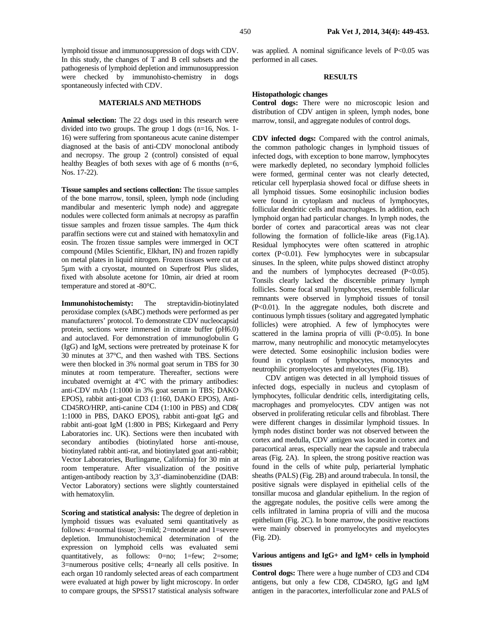lymphoid tissue and immunosuppression of dogs with CDV. In this study, the changes of T and B cell subsets and the pathogenesis of lymphoid depletion and immunosuppression were checked by immunohisto-chemistry in dogs spontaneously infected with CDV.

## **MATERIALS AND METHODS**

**Animal selection:** The 22 dogs used in this research were divided into two groups. The group 1 dogs (n=16, Nos. 1- 16) were suffering from spontaneous acute canine distemper diagnosed at the basis of anti-CDV monoclonal antibody and necropsy. The group 2 (control) consisted of equal healthy Beagles of both sexes with age of 6 months (n=6, Nos. 17-22).

**Tissue samples and sections collection:** The tissue samples of the bone marrow, tonsil, spleen, lymph node (including mandibular and mesenteric lymph node) and aggregate nodules were collected form animals at necropsy as paraffin tissue samples and frozen tissue samples. The 4µm thick paraffin sections were cut and stained with hematoxylin and eosin. The frozen tissue samples were immerged in OCT compound (Miles Scientific, Elkhart, IN) and frozen rapidly on metal plates in liquid nitrogen. Frozen tissues were cut at 5µm with a cryostat, mounted on Superfrost Plus slides, fixed with absolute acetone for 10min, air dried at room temperature and stored at -80°C.

**Immunohistochemisty:** The streptavidin-biotinylated peroxidase complex (sABC) methods were performed as per manufacturers' protocol. To demonstrate CDV nucleocapsid protein, sections were immersed in citrate buffer (pH6.0) and autoclaved. For demonstration of immunoglobulin G (IgG) and IgM, sections were pretreated by proteinase K for 30 minutes at 37°C, and then washed with TBS. Sections were then blocked in 3% normal goat serum in TBS for 30 minutes at room temperature. Thereafter, sections were incubated overnight at 4°C with the primary antibodies: anti-CDV mAb (1:1000 in 3% goat serum in TBS; DAKO EPOS), rabbit anti-goat CD3 (1:160, DAKO EPOS), Anti-CD45RO/HRP, anti-canine CD4 (1:100 in PBS) and CD8( 1:1000 in PBS, DAKO EPOS), rabbit anti-goat IgG and rabbit anti-goat IgM (1:800 in PBS; Kirkegaard and Perry Laboratories inc. UK). Sections were then incubated with secondary antibodies (biotinylated horse anti-mouse, biotinylated rabbit anti-rat, and biotinylated goat anti-rabbit; Vector Laboratories, Burlingame, California) for 30 min at room temperature. After visualization of the positive antigen-antibody reaction by 3,3'-diaminobenzidine (DAB: Vector Laboratory) sections were slightly counterstained with hematoxylin.

**Scoring and statistical analysis:** The degree of depletion in lymphoid tissues was evaluated semi quantitatively as follows: 4=normal tissue; 3=mild; 2=moderate and 1=severe depletion. Immunohistochemical determination of the expression on lymphoid cells was evaluated semi quantitatively, as follows: 0=no; 1=few; 2=some; 3=numerous positive cells; 4=nearly all cells positive. In each organ 10 randomly selected areas of each compartment were evaluated at high power by light microscopy. In order to compare groups, the SPSS17 statistical analysis software

was applied. A nominal significance levels of P<0.05 was performed in all cases.

#### **RESULTS**

#### **Histopathologic changes**

**Control dogs:** There were no microscopic lesion and distribution of CDV antigen in spleen, lymph nodes, bone marrow, tonsil, and aggregate nodules of control dogs.

**CDV infected dogs:** Compared with the control animals, the common pathologic changes in lymphoid tissues of infected dogs, with exception to bone marrow, lymphocytes were markedly depleted, no secondary lymphoid follicles were formed, germinal center was not clearly detected, reticular cell hyperplasia showed focal or diffuse sheets in all lymphoid tissues. Some eosinophilic inclusion bodies were found in cytoplasm and nucleus of lymphocytes, follicular dendritic cells and macrophages. In addition, each lymphoid organ had particular changes. In lymph nodes, the border of cortex and paracortical areas was not clear following the formation of follicle-like areas (Fig.1A). Residual lymphocytes were often scattered in atrophic cortex (P<0.01). Few lymphocytes were in subcapsular sinuses. In the spleen, white pulps showed distinct atrophy and the numbers of lymphocytes decreased (P<0.05). Tonsils clearly lacked the discernible primary lymph follicles. Some focal small lymphocytes, resemble follicular remnants were observed in lymphoid tissues of tonsil (P<0.01). In the aggregate nodules, both discrete and continuous lymph tissues (solitary and aggregated lymphatic follicles) were atrophied. A few of lymphocytes were scattered in the lamina propria of villi  $(P<0.05)$ . In bone marrow, many neutrophilic and monocytic metamyelocytes were detected. Some eosinophilic inclusion bodies were found in cytoplasm of lymphocytes, monocytes and neutrophilic promyelocytes and myelocytes (Fig. 1B).

CDV antigen was detected in all lymphoid tissues of infected dogs, especially in nucleus and cytoplasm of lymphocytes, follicular dendritic cells, interdigitating cells, macrophages and promyelocytes. CDV antigen was not observed in proliferating reticular cells and fibroblast. There were different changes in dissimilar lymphoid tissues. In lymph nodes distinct border was not observed between the cortex and medulla, CDV antigen was located in cortex and paracortical areas, especially near the capsule and trabecula areas (Fig. 2A). In spleen, the strong positive reaction was found in the cells of white pulp, periarterial lymphatic sheaths (PALS) (Fig. 2B) and around trabecula. In tonsil, the positive signals were displayed in epithelial cells of the tonsillar mucosa and glandular epithelium. In the region of the aggregate nodules, the positive cells were among the cells infiltrated in lamina propria of villi and the mucosa epithelium (Fig. 2C). In bone marrow, the positive reactions were mainly observed in promyelocytes and myelocytes (Fig. 2D).

## **Various antigens and IgG+ and IgM+ cells in lymphoid tissues**

**Control dogs:** There were a huge number of CD3 and CD4 antigens, but only a few CD8, CD45RO, IgG and IgM antigen in the paracortex, interfollicular zone and PALS of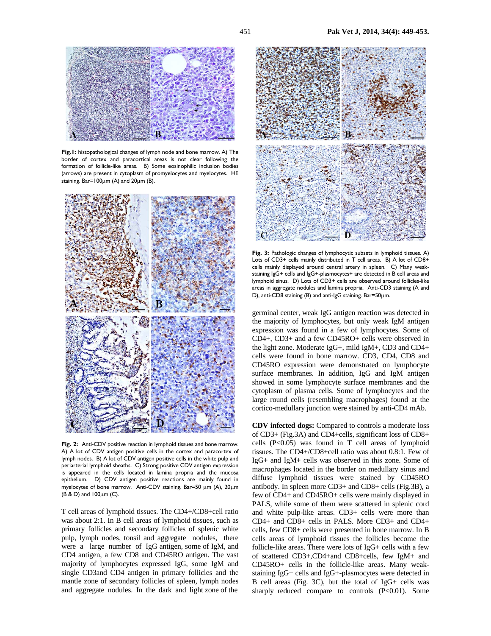

**Fig.1:** histopathological changes of lymph node and bone marrow. A) The border of cortex and paracortical areas is not clear following the formation of follicle-like areas. B) Some eosinophilic inclusion bodies (arrows) are present in cytoplasm of promyelocytes and myelocytes. HE staining.  $Bar=100 \mu m$  (A) and  $20 \mu m$  (B).



Fig. 2: Anti-CDV positive reaction in lymphoid tissues and bone marrow. A) A lot of CDV antigen positive cells in the cortex and paracortex of lymph nodes. B) A lot of CDV antigen positive cells in the white pulp and periarterial lymphoid sheaths. C) Strong positive CDV antigen expression is appeared in the cells located in lamina propria and the mucosa epithelium. D) CDV antigen positive reactions are mainly found in myelocytes of bone marrow. Anti-CDV staining. Bar=50 µm (A), 20µm (B & D) and 100µm (C).

T cell areas of lymphoid tissues. The CD4+/CD8+cell ratio was about 2:1. In B cell areas of lymphoid tissues, such as primary follicles and secondary follicles of splenic white pulp, lymph nodes, tonsil and aggregate nodules, there were a large number of IgG antigen, some of IgM, and CD4 antigen, a few CD8 and CD45RO antigen. The vast majority of lymphocytes expressed IgG, some IgM and single CD3and CD4 antigen in primary follicles and the mantle zone of secondary follicles of spleen, lymph nodes and aggregate nodules. In the dark and light zone of the



Fig. 3: Pathologic changes of lymphocytic subsets in lymphoid tissues. A) Lots of CD3+ cells mainly distributed in T cell areas. B) A lot of CD8+ cells mainly displayed around central artery in spleen. C) Many weakstaining IgG+ cells and IgG+-plasmocytes+ are detected in B cell areas and lymphoid sinus. D) Lots of CD3+ cells are observed around follicles-like areas in aggregate nodules and lamina propria. Anti-CD3 staining (A and D), anti-CD8 staining (B) and anti-IgG staining. Bar=50µm.

germinal center, weak IgG antigen reaction was detected in the majority of lymphocytes, but only weak IgM antigen expression was found in a few of lymphocytes. Some of CD4+, CD3+ and a few CD45RO+ cells were observed in the light zone. Moderate IgG+, mild IgM+, CD3 and CD4+ cells were found in bone marrow. CD3, CD4, CD8 and CD45RO expression were demonstrated on lymphocyte surface membranes. In addition, IgG and IgM antigen showed in some lymphocyte surface membranes and the cytoplasm of plasma cells. Some of lymphocytes and the large round cells (resembling macrophages) found at the cortico-medullary junction were stained by anti-CD4 mAb.

**CDV infected dogs:** Compared to controls a moderate loss of CD3+ (Fig.3A) and CD4+cells, significant loss of CD8+ cells  $(P<0.05)$  was found in T cell areas of lymphoid tissues. The CD4+/CD8+cell ratio was about 0.8:1. Few of IgG+ and IgM+ cells was observed in this zone. Some of macrophages located in the border on medullary sinus and diffuse lymphoid tissues were stained by CD45RO antibody. In spleen more CD3+ and CD8+ cells (Fig.3B), a few of CD4+ and CD45RO+ cells were mainly displayed in PALS, while some of them were scattered in splenic cord and white pulp-like areas. CD3+ cells were more than CD4+ and CD8+ cells in PALS. More CD3+ and CD4+ cells, few CD8+ cells were presented in bone marrow. In B cells areas of lymphoid tissues the follicles become the follicle-like areas. There were lots of IgG+ cells with a few of scattered CD3+,CD4+and CD8+cells, few IgM+ and CD45RO+ cells in the follicle-like areas. Many weakstaining IgG+ cells and IgG+-plasmocytes were detected in B cell areas (Fig. 3C), but the total of IgG+ cells was sharply reduced compare to controls (P<0.01). Some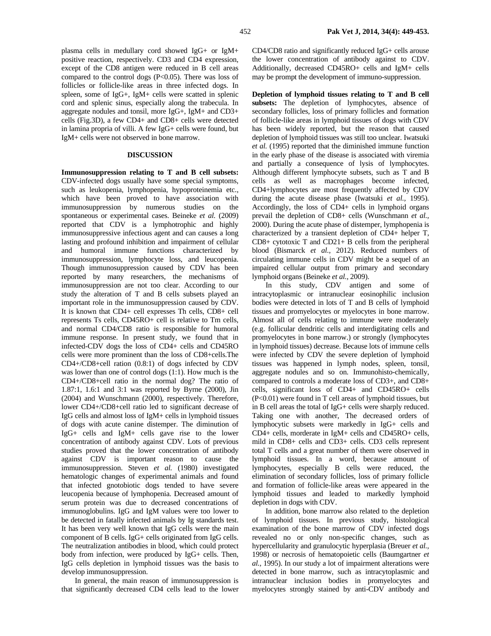plasma cells in medullary cord showed IgG+ or IgM+ positive reaction, respectively. CD3 and CD4 expression, except of the CD8 antigen were reduced in B cell areas compared to the control dogs (P<0.05). There was loss of follicles or follicle-like areas in three infected dogs. In spleen, some of IgG+, IgM+ cells were scatted in splenic cord and splenic sinus, especially along the trabecula. In aggregate nodules and tonsil, more IgG+, IgM+ and CD3+ cells (Fig.3D), a few CD4+ and CD8+ cells were detected in lamina propria of villi. A few IgG+ cells were found, but IgM+ cells were not observed in bone marrow.

## **DISCUSSION**

**Immunosuppression relating to T and B cell subsets:**  CDV-infected dogs usually have some special symptoms, such as leukopenia, lymphopenia, hypoproteinemia etc., which have been proved to have association with immunosuppression by numerous studies on the spontaneous or experimental cases. Beineke *et al.* (2009) reported that CDV is a lymphotrophic and highly immunosuppressive infectious agent and can causes a long lasting and profound inhibition and impairment of cellular and humoral immune functions characterized by immunosuppression, lymphocyte loss, and leucopenia. Though immunosuppression caused by CDV has been reported by many researchers, the mechanisms of immunosuppression are not too clear. According to our study the alteration of T and B cells subsets played an important role in the immunosuppression caused by CDV. It is known that CD4+ cell expresses Th cells, CD8+ cell represents Ts cells, CD45RO+ cell is relative to Tm cells, and normal CD4/CD8 ratio is responsible for humoral immune response. In present study, we found that in infected-CDV dogs the loss of CD4+ cells and CD45RO cells were more prominent than the loss of CD8+cells.The CD4+/CD8+cell ration (0.8:1) of dogs infected by CDV was lower than one of control dogs (1:1). How much is the CD4+/CD8+cell ratio in the normal dog? The ratio of 1.87:1, 1.6:1 and 3:1 was reported by Byrne (2000), Jin (2004) and Wunschmann (2000), respectively. Therefore, lower CD4+/CD8+cell ratio led to significant decrease of IgG cells and almost loss of IgM+ cells in lymphoid tissues of dogs with acute canine distemper. The diminution of IgG+ cells and IgM+ cells gave rise to the lower concentration of antibody against CDV. Lots of previous studies proved that the lower concentration of antibody against CDV is important reason to cause the immunosuppression. Steven *et al.* (1980) investigated hematologic changes of experimental animals and found that infected gnotobiotic dogs tended to have severe leucopenia because of lymphopenia. Decreased amount of serum protein was due to decreased concentrations of immunoglobulins. IgG and IgM values were too lower to be detected in fatally infected animals by Ig standards test. It has been very well known that IgG cells were the main component of B cells. IgG+ cells originated from IgG cells. The neutralization antibodies in blood, which could protect body from infection, were produced by IgG+ cells. Then, IgG cells depletion in lymphoid tissues was the basis to develop immunosuppression.

In general, the main reason of immunosuppression is that significantly decreased CD4 cells lead to the lower CD4/CD8 ratio and significantly reduced IgG+ cells arouse the lower concentration of antibody against to CDV. Additionally, decreased CD45RO+ cells and IgM+ cells may be prompt the development of immuno-suppression.

**Depletion of lymphoid tissues relating to T and B cell**  subsets: The depletion of lymphocytes, absence of secondary follicles, loss of primary follicles and formation of follicle-like areas in lymphoid tissues of dogs with CDV has been widely reported, but the reason that caused depletion of lymphoid tissues was still too unclear. Iwatsuki *et al.* (1995) reported that the diminished immune function in the early phase of the disease is associated with viremia and partially a consequence of lysis of lymphocytes. Although different lymphocyte subsets, such as T and B cells as well as macrophages become infected, CD4+lymphocytes are most frequently affected by CDV during the acute disease phase (Iwatsuki *et al.,* 1995). Accordingly, the loss of CD4+ cells in lymphoid organs prevail the depletion of CD8+ cells (Wunschmann *et al.,* 2000). During the acute phase of distemper, lymphopenia is characterized by a transient depletion of CD4+ helper T,  $CD8+$  cytotoxic T and  $CD21+$  B cells from the peripheral blood (Bismarck *et al.,* 2012). Reduced numbers of circulating immune cells in CDV might be a sequel of an impaired cellular output from primary and secondary lymphoid organs (Beineke *et al.,* 2009).

In this study, CDV antigen and some of intracytoplasmic or intranuclear eosinophilic inclusion bodies were detected in lots of T and B cells of lymphoid tissues and promyelocytes or myelocytes in bone marrow. Almost all of cells relating to immune were moderately (e.g. follicular dendritic cells and interdigitating cells and promyelocytes in bone marrow.) or strongly (lymphocytes in lymphoid tissues) decrease. Because lots of immune cells were infected by CDV the severe depletion of lymphoid tissues was happened in lymph nodes, spleen, tonsil, aggregate nodules and so on. Immunohisto-chemically, compared to controls a moderate loss of CD3+, and CD8+ cells, significant loss of CD4+ and CD45RO+ cells (P<0.01) were found in T cell areas of lymphoid tissues, but in B cell areas the total of IgG+ cells were sharply reduced. Taking one with another, The decreased orders of lymphocytic subsets were markedly in IgG+ cells and CD4+ cells, morderate in IgM+ cells and CD45RO+ cells, mild in CD8+ cells and CD3+ cells. CD3 cells represent total T cells and a great number of them were observed in lymphoid tissues. In a word, because amount of lymphocytes, especially B cells were reduced, the elimination of secondary follicles, loss of primary follicle and formation of follicle-like areas were appeared in the lymphoid tissues and leaded to markedly lymphoid depletion in dogs with CDV.

In addition, bone marrow also related to the depletion of lymphoid tissues. In previous study, histological examination of the bone marrow of CDV infected dogs revealed no or only non-specific changes, such as hypercellularity and granulocytic hyperplasia (Breuer *et al.,* 1998) or necrosis of hematopoietic cells (Baumgartner *et al.,* 1995). In our study a lot of impairment alterations were detected in bone marrow, such as intracytoplasmic and intranuclear inclusion bodies in promyelocytes and myelocytes strongly stained by anti-CDV antibody and